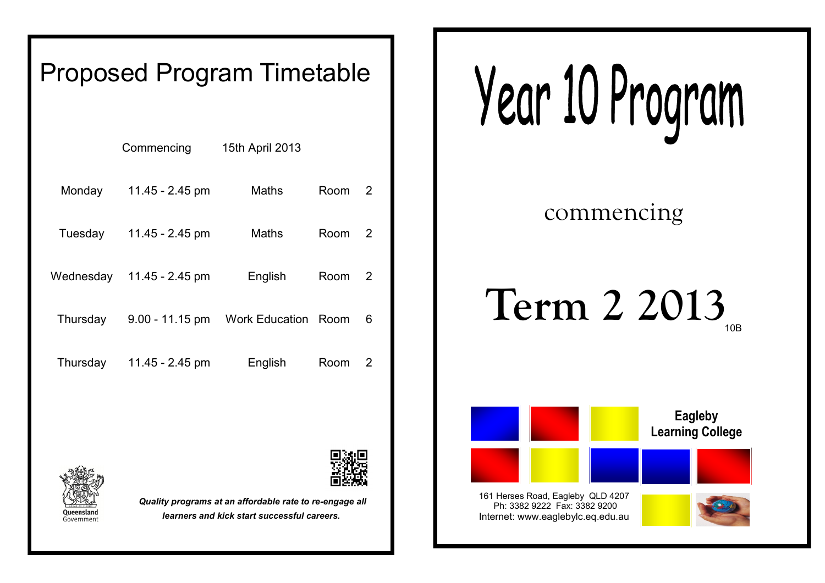# Proposed Program Timetable

|           | Commencing        | 15th April 2013            |      |   |
|-----------|-------------------|----------------------------|------|---|
| Monday    | 11.45 - $2.45$ pm | Maths                      | Room | 2 |
| Tuesday   | 11.45 - $2.45$ pm | Maths                      | Room | 2 |
| Wednesday | 11.45 - 2.45 pm   | English                    | Room | 2 |
| Thursday  | $9.00 - 11.15$ pm | <b>Work Education Room</b> |      | 6 |
| Thursday  | 11.45 - 2.45 pm   | English                    | Room | 2 |

Year 10 Program

commencing

## **Term 2 2013** 10B



Ph: 3382 9222 Fax: 3382 9200 Internet: www.eaglebylc.eq.edu.au





*Quality programs at an affordable rate to re-engage all learners and kick start successful careers.*